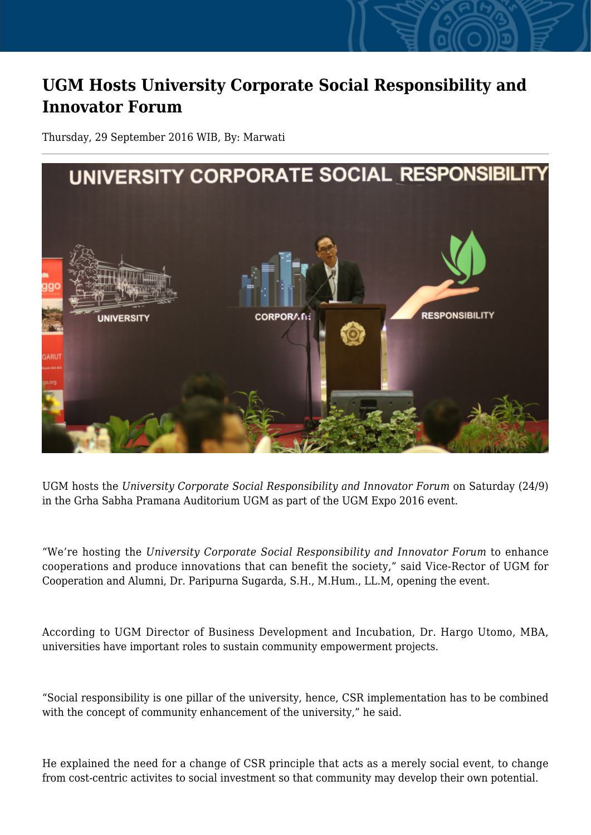## **UGM Hosts University Corporate Social Responsibility and Innovator Forum**

Thursday, 29 September 2016 WIB, By: Marwati



UGM hosts the *University Corporate Social Responsibility and Innovator Forum* on Saturday (24/9) in the Grha Sabha Pramana Auditorium UGM as part of the UGM Expo 2016 event.

"We're hosting the *University Corporate Social Responsibility and Innovator Forum* to enhance cooperations and produce innovations that can benefit the society," said Vice-Rector of UGM for Cooperation and Alumni, Dr. Paripurna Sugarda, S.H., M.Hum., LL.M, opening the event.

According to UGM Director of Business Development and Incubation, Dr. Hargo Utomo, MBA, universities have important roles to sustain community empowerment projects.

"Social responsibility is one pillar of the university, hence, CSR implementation has to be combined with the concept of community enhancement of the university," he said.

He explained the need for a change of CSR principle that acts as a merely social event, to change from cost-centric activites to social investment so that community may develop their own potential.